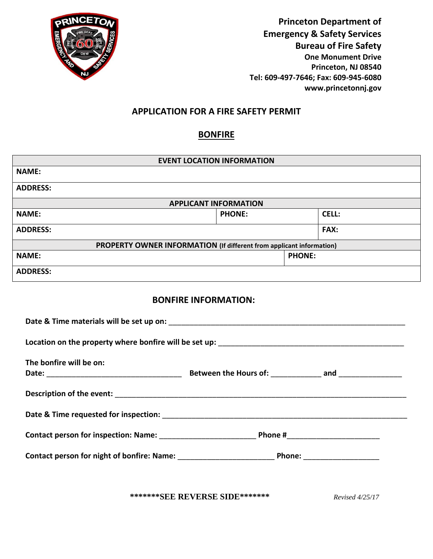

**Princeton Department of Emergency & Safety Services Bureau of Fire Safety One Monument Drive Princeton, NJ 08540 Tel: 609-497-7646; Fax: 609-945-6080 www.princetonnj.gov**

# **APPLICATION FOR A FIRE SAFETY PERMIT**

## **BONFIRE**

| <b>EVENT LOCATION INFORMATION</b>                                    |               |               |  |  |
|----------------------------------------------------------------------|---------------|---------------|--|--|
| <b>NAME:</b>                                                         |               |               |  |  |
| <b>ADDRESS:</b>                                                      |               |               |  |  |
| <b>APPLICANT INFORMATION</b>                                         |               |               |  |  |
| <b>NAME:</b>                                                         | <b>PHONE:</b> | <b>CELL:</b>  |  |  |
| <b>ADDRESS:</b>                                                      |               | <b>FAX:</b>   |  |  |
| PROPERTY OWNER INFORMATION (If different from applicant information) |               |               |  |  |
| <b>NAME:</b>                                                         |               | <b>PHONE:</b> |  |  |
| <b>ADDRESS:</b>                                                      |               |               |  |  |

## **BONFIRE INFORMATION:**

| The bonfire will be on: |  |  |  |  |
|-------------------------|--|--|--|--|
|                         |  |  |  |  |
|                         |  |  |  |  |
|                         |  |  |  |  |
|                         |  |  |  |  |
|                         |  |  |  |  |

**\*\*\*\*\*\*\*SEE REVERSE SIDE\*\*\*\*\*\*\*** *Revised 4/25/17*